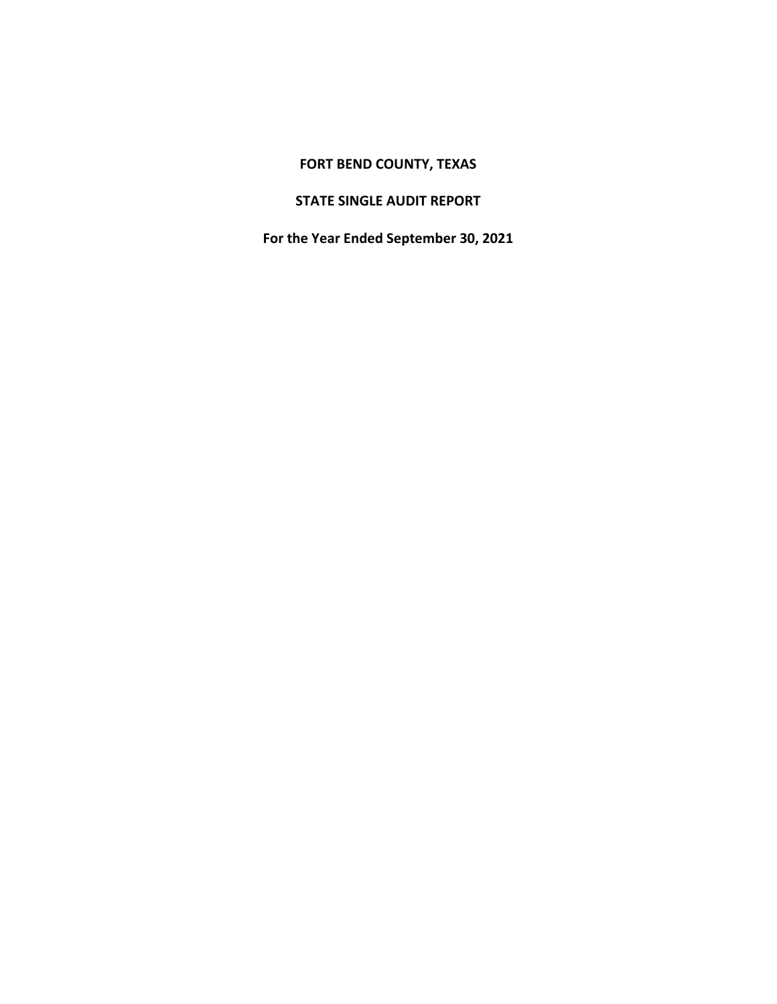# **FORT BEND COUNTY, TEXAS**

## **STATE SINGLE AUDIT REPORT**

**For the Year Ended September 30, 2021**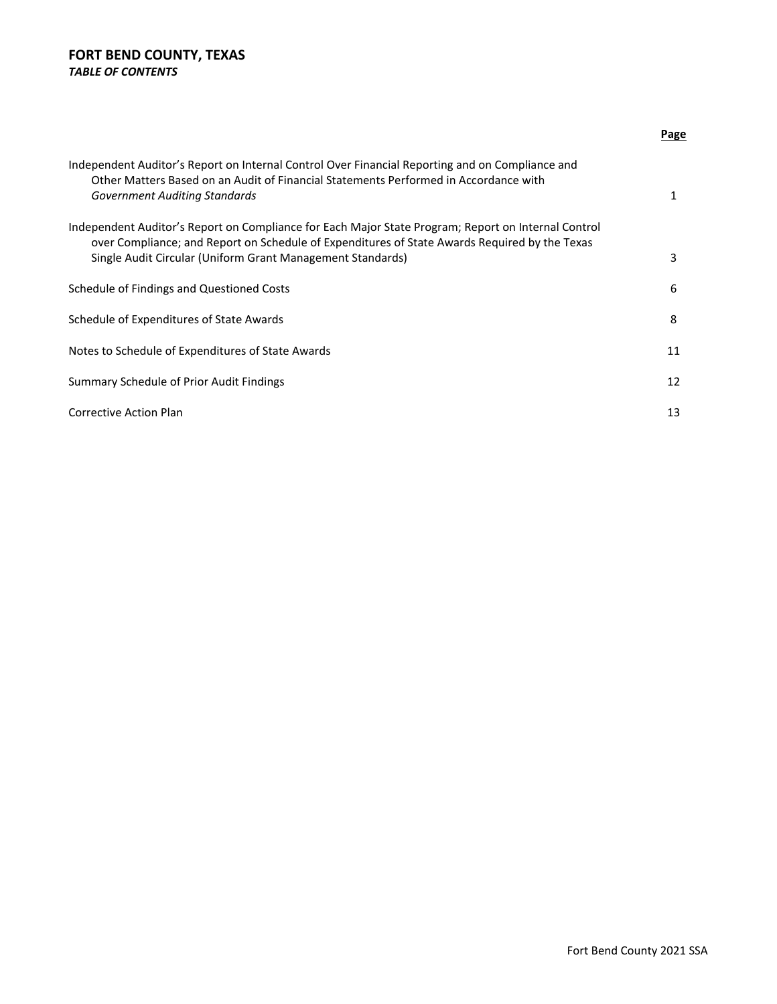## **FORT BEND COUNTY, TEXAS** *TABLE OF CONTENTS*

| Independent Auditor's Report on Internal Control Over Financial Reporting and on Compliance and<br>Other Matters Based on an Audit of Financial Statements Performed in Accordance with<br>Government Auditing Standards                                           | 1  |
|--------------------------------------------------------------------------------------------------------------------------------------------------------------------------------------------------------------------------------------------------------------------|----|
| Independent Auditor's Report on Compliance for Each Major State Program; Report on Internal Control<br>over Compliance; and Report on Schedule of Expenditures of State Awards Required by the Texas<br>Single Audit Circular (Uniform Grant Management Standards) | 3  |
| Schedule of Findings and Questioned Costs                                                                                                                                                                                                                          | 6  |
| Schedule of Expenditures of State Awards                                                                                                                                                                                                                           | 8  |
| Notes to Schedule of Expenditures of State Awards                                                                                                                                                                                                                  | 11 |
| Summary Schedule of Prior Audit Findings                                                                                                                                                                                                                           | 12 |
| Corrective Action Plan                                                                                                                                                                                                                                             | 13 |

 **Page**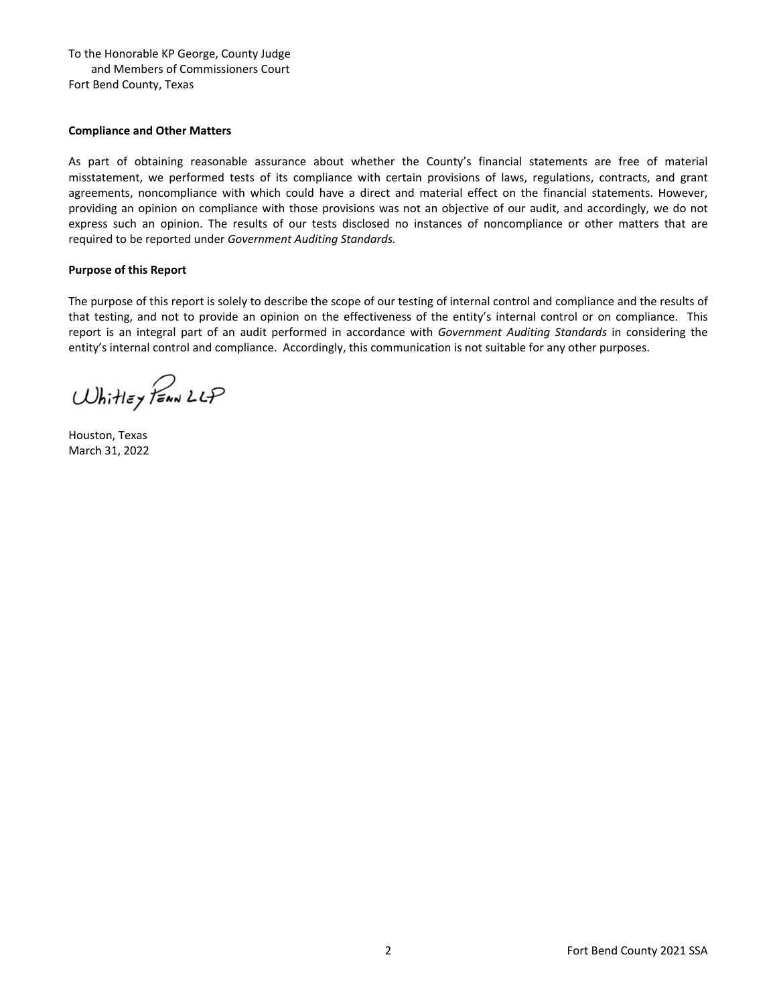To the Honorable KP George, County Judge and Members of Commissioners Court Fort Bend County, Texas

#### **Compliance and Other Matters**

As part of obtaining reasonable assurance about whether the County's financial statements are free of material misstatement, we performed tests of its compliance with certain provisions of laws, regulations, contracts, and grant agreements, noncompliance with which could have a direct and material effect on the financial statements. However, providing an opinion on compliance with those provisions was not an objective of our audit, and accordingly, we do not express such an opinion. The results of our tests disclosed no instances of noncompliance or other matters that are required to be reported under *Government Auditing Standards.*

#### **Purpose of this Report**

The purpose of this report is solely to describe the scope of our testing of internal control and compliance and the results of that testing, and not to provide an opinion on the effectiveness of the entity's internal control or on compliance. This report is an integral part of an audit performed in accordance with *Government Auditing Standards* in considering the entity's internal control and compliance. Accordingly, this communication is not suitable for any other purposes.

Whitley PEAN LLP

Houston, Texas March 31, 2022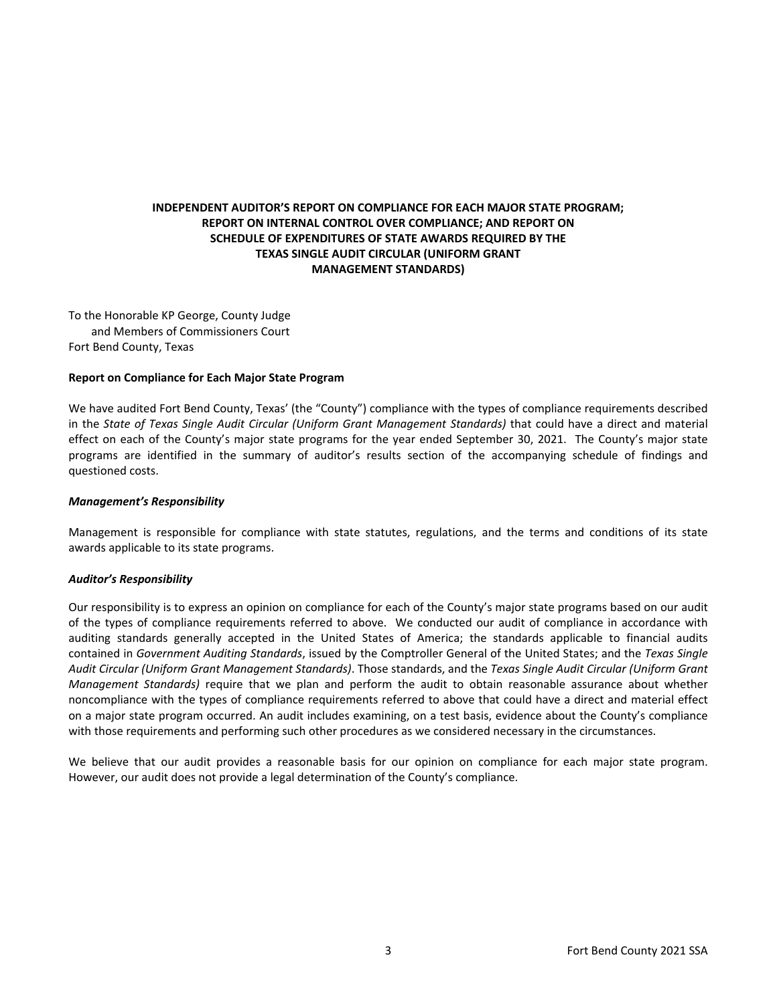3737 Buffalo Speedway Suite 1600 Houston, Texas 77098 713.621.1515 Main

whitleypenn.com

## **INDEPENDENT AUDITOR'S REPORT ON COMPLIANCE FOR EACH MAJOR STATE PROGRAM; REPORT ON INTERNAL CONTROL OVER COMPLIANCE; AND REPORT ON SCHEDULE OF EXPENDITURES OF STATE AWARDS REQUIRED BY THE TEXAS SINGLE AUDIT CIRCULAR (UNIFORM GRANT MANAGEMENT STANDARDS)**

To the Honorable KP George, County Judge and Members of Commissioners Court Fort Bend County, Texas

#### **Report on Compliance for Each Major State Program**

We have audited Fort Bend County, Texas' (the "County") compliance with the types of compliance requirements described in the *State of Texas Single Audit Circular (Uniform Grant Management Standards)* that could have a direct and material effect on each of the County's major state programs for the year ended September 30, 2021. The County's major state programs are identified in the summary of auditor's results section of the accompanying schedule of findings and questioned costs.

#### *Management's Responsibility*

Management is responsible for compliance with state statutes, regulations, and the terms and conditions of its state awards applicable to its state programs.

#### *Auditor's Responsibility*

Our responsibility is to express an opinion on compliance for each of the County's major state programs based on our audit of the types of compliance requirements referred to above. We conducted our audit of compliance in accordance with auditing standards generally accepted in the United States of America; the standards applicable to financial audits contained in *Government Auditing Standards*, issued by the Comptroller General of the United States; and the *Texas Single Audit Circular (Uniform Grant Management Standards)*. Those standards, and the *Texas Single Audit Circular (Uniform Grant Management Standards)* require that we plan and perform the audit to obtain reasonable assurance about whether noncompliance with the types of compliance requirements referred to above that could have a direct and material effect on a major state program occurred. An audit includes examining, on a test basis, evidence about the County's compliance with those requirements and performing such other procedures as we considered necessary in the circumstances.

We believe that our audit provides a reasonable basis for our opinion on compliance for each major state program. However, our audit does not provide a legal determination of the County's compliance.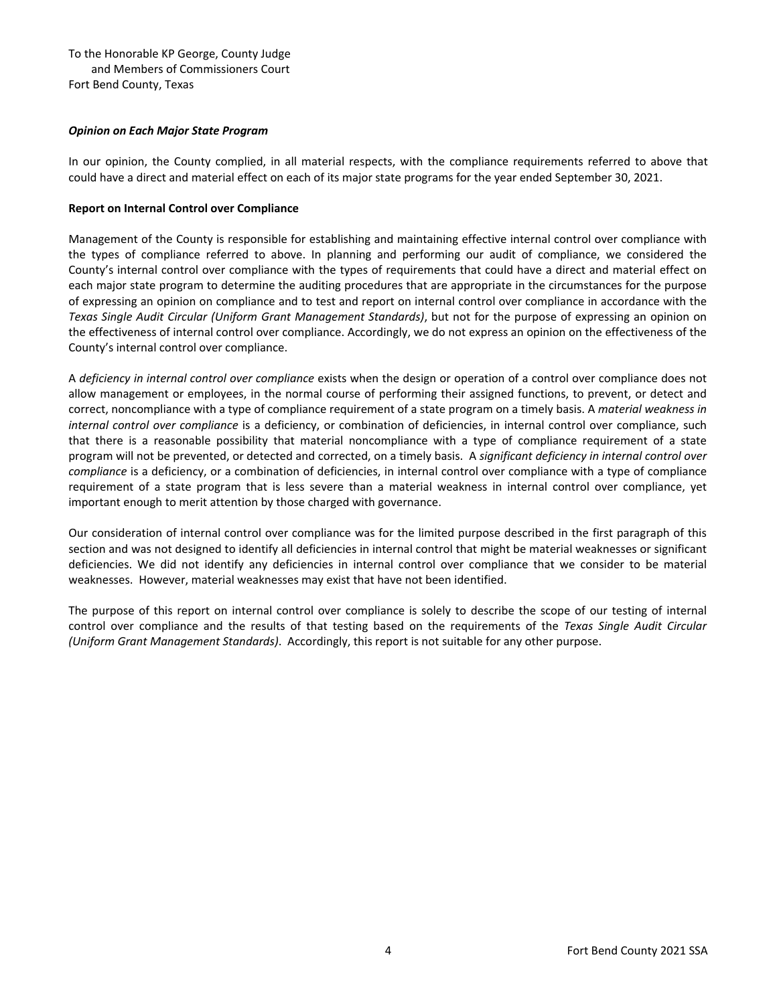#### *Opinion on Each Major State Program*

In our opinion, the County complied, in all material respects, with the compliance requirements referred to above that could have a direct and material effect on each of its major state programs for the year ended September 30, 2021.

#### **Report on Internal Control over Compliance**

Management of the County is responsible for establishing and maintaining effective internal control over compliance with the types of compliance referred to above. In planning and performing our audit of compliance, we considered the County's internal control over compliance with the types of requirements that could have a direct and material effect on each major state program to determine the auditing procedures that are appropriate in the circumstances for the purpose of expressing an opinion on compliance and to test and report on internal control over compliance in accordance with the *Texas Single Audit Circular (Uniform Grant Management Standards)*, but not for the purpose of expressing an opinion on the effectiveness of internal control over compliance. Accordingly, we do not express an opinion on the effectiveness of the County's internal control over compliance.

A *deficiency in internal control over compliance* exists when the design or operation of a control over compliance does not allow management or employees, in the normal course of performing their assigned functions, to prevent, or detect and correct, noncompliance with a type of compliance requirement of a state program on a timely basis. A *material weakness in internal control over compliance* is a deficiency, or combination of deficiencies, in internal control over compliance, such that there is a reasonable possibility that material noncompliance with a type of compliance requirement of a state program will not be prevented, or detected and corrected, on a timely basis. A *significant deficiency in internal control over compliance* is a deficiency, or a combination of deficiencies, in internal control over compliance with a type of compliance requirement of a state program that is less severe than a material weakness in internal control over compliance, yet important enough to merit attention by those charged with governance.

Our consideration of internal control over compliance was for the limited purpose described in the first paragraph of this section and was not designed to identify all deficiencies in internal control that might be material weaknesses or significant deficiencies. We did not identify any deficiencies in internal control over compliance that we consider to be material weaknesses. However, material weaknesses may exist that have not been identified.

The purpose of this report on internal control over compliance is solely to describe the scope of our testing of internal control over compliance and the results of that testing based on the requirements of the *Texas Single Audit Circular (Uniform Grant Management Standards)*. Accordingly, this report is not suitable for any other purpose.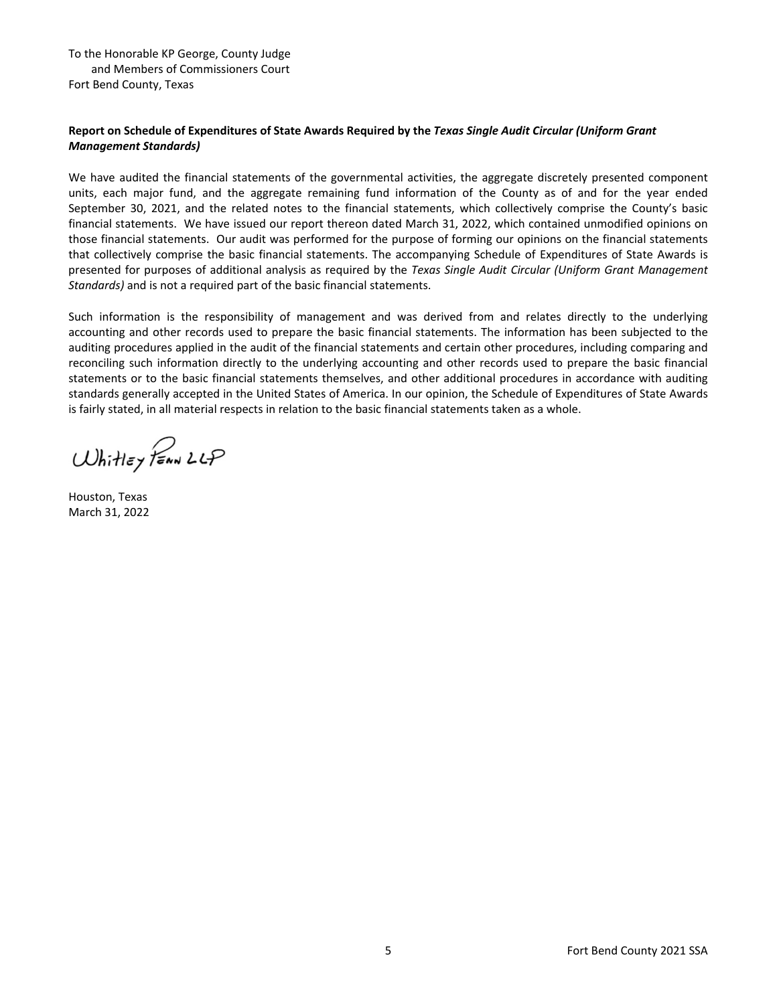To the Honorable KP George, County Judge and Members of Commissioners Court Fort Bend County, Texas

#### Report on Schedule of Expenditures of State Awards Required by the Texas Single Audit Circular (Uniform Grant *Management Standards)*

We have audited the financial statements of the governmental activities, the aggregate discretely presented component units, each major fund, and the aggregate remaining fund information of the County as of and for the year ended September 30, 2021, and the related notes to the financial statements, which collectively comprise the County's basic financial statements. We have issued our report thereon dated March 31, 2022, which contained unmodified opinions on those financial statements. Our audit was performed for the purpose of forming our opinions on the financial statements that collectively comprise the basic financial statements. The accompanying Schedule of Expenditures of State Awards is presented for purposes of additional analysis as required by the *Texas Single Audit Circular (Uniform Grant Management Standards)* and is not a required part of the basic financial statements.

Such information is the responsibility of management and was derived from and relates directly to the underlying accounting and other records used to prepare the basic financial statements. The information has been subjected to the auditing procedures applied in the audit of the financial statements and certain other procedures, including comparing and reconciling such information directly to the underlying accounting and other records used to prepare the basic financial statements or to the basic financial statements themselves, and other additional procedures in accordance with auditing standards generally accepted in the United States of America. In our opinion, the Schedule of Expenditures of State Awards is fairly stated, in all material respects in relation to the basic financial statements taken as a whole.

Whitley PEAN LLP

Houston, Texas March 31, 2022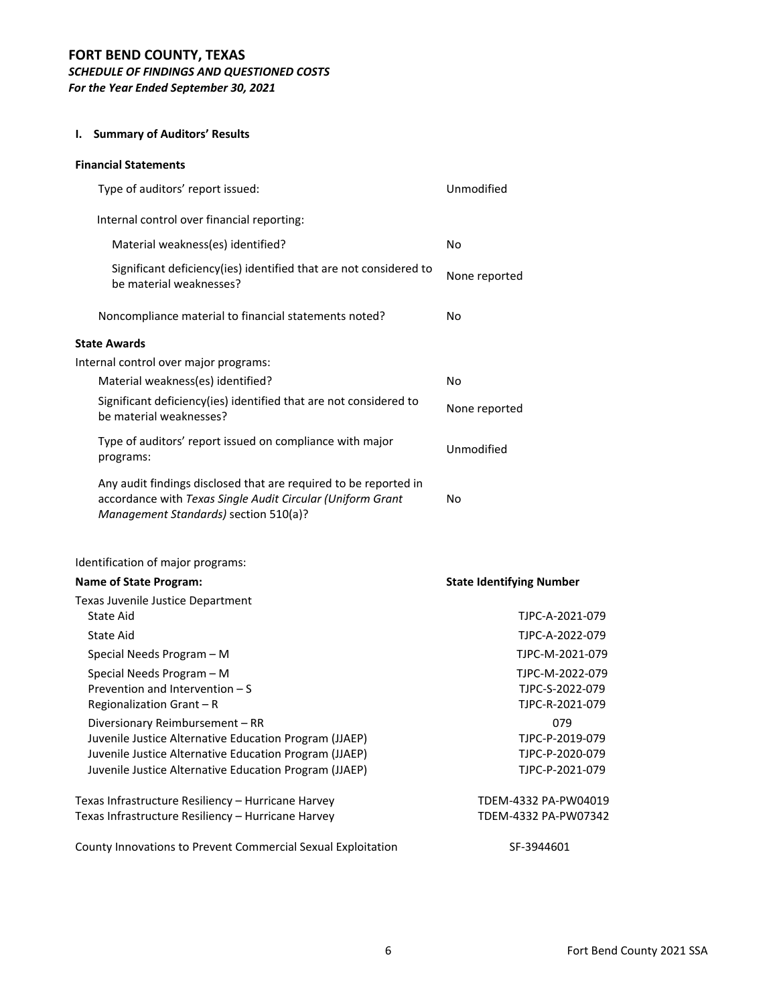## **FORT BEND COUNTY, TEXAS** *SCHEDULE OF FINDINGS AND QUESTIONED COSTS For the Year Ended September 30, 2021*

**I. Summary of Auditors' Results**

| <b>Financial Statements</b>                                                                                                                                             |                                    |
|-------------------------------------------------------------------------------------------------------------------------------------------------------------------------|------------------------------------|
| Type of auditors' report issued:                                                                                                                                        | Unmodified                         |
| Internal control over financial reporting:                                                                                                                              |                                    |
| Material weakness(es) identified?                                                                                                                                       | No                                 |
| Significant deficiency(ies) identified that are not considered to<br>be material weaknesses?                                                                            | None reported                      |
| Noncompliance material to financial statements noted?                                                                                                                   | No                                 |
| <b>State Awards</b>                                                                                                                                                     |                                    |
| Internal control over major programs:                                                                                                                                   |                                    |
| Material weakness(es) identified?                                                                                                                                       | No                                 |
| Significant deficiency(ies) identified that are not considered to<br>be material weaknesses?                                                                            | None reported                      |
| Type of auditors' report issued on compliance with major<br>programs:                                                                                                   | Unmodified                         |
| Any audit findings disclosed that are required to be reported in<br>accordance with Texas Single Audit Circular (Uniform Grant<br>Management Standards) section 510(a)? | No                                 |
| Identification of major programs:                                                                                                                                       |                                    |
| <b>Name of State Program:</b>                                                                                                                                           | <b>State Identifying Number</b>    |
| Texas Juvenile Justice Department                                                                                                                                       |                                    |
| State Aid                                                                                                                                                               | TJPC-A-2021-079                    |
| State Aid                                                                                                                                                               | TJPC-A-2022-079                    |
| Special Needs Program - M                                                                                                                                               | TJPC-M-2021-079                    |
| Special Needs Program - M                                                                                                                                               | TJPC-M-2022-079                    |
| Prevention and Intervention - S                                                                                                                                         | TJPC-S-2022-079                    |
| Regionalization Grant - R                                                                                                                                               | TJPC-R-2021-079                    |
| Diversionary Reimbursement - RR                                                                                                                                         | 079                                |
| Juvenile Justice Alternative Education Program (JJAEP)                                                                                                                  | TJPC-P-2019-079                    |
| Juvenile Justice Alternative Education Program (JJAEP)<br>Juvenile Justice Alternative Education Program (JJAEP)                                                        | TJPC-P-2020-079<br>TJPC-P-2021-079 |
| Texas Infrastructure Resiliency - Hurricane Harvey                                                                                                                      | TDEM-4332 PA-PW04019               |
| Texas Infrastructure Resiliency - Hurricane Harvey                                                                                                                      | TDEM-4332 PA-PW07342               |
| County Innovations to Prevent Commercial Sexual Exploitation                                                                                                            | SF-3944601                         |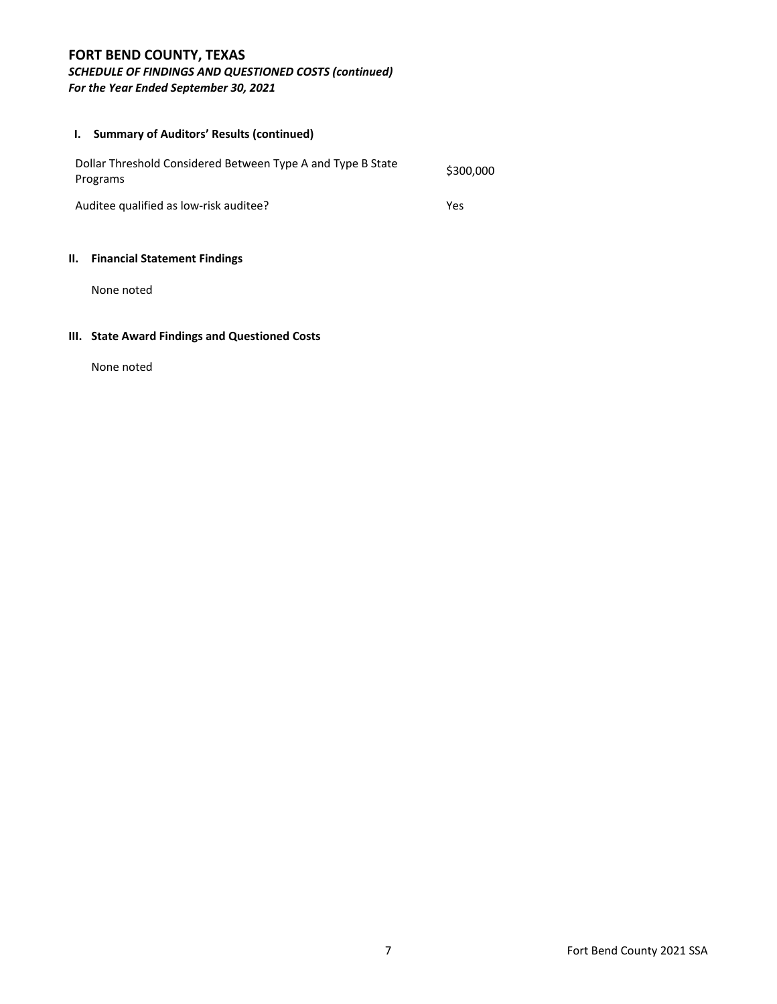## **FORT BEND COUNTY, TEXAS** *SCHEDULE OF FINDINGS AND QUESTIONED COSTS (continued) For the Year Ended September 30, 2021*

## **I. Summary of Auditors' Results (continued)**

| Dollar Threshold Considered Between Type A and Type B State<br>Programs |     |
|-------------------------------------------------------------------------|-----|
| Auditee qualified as low-risk auditee?                                  | Yes |

## **II. Financial Statement Findings**

None noted

## **III. State Award Findings and Questioned Costs**

None noted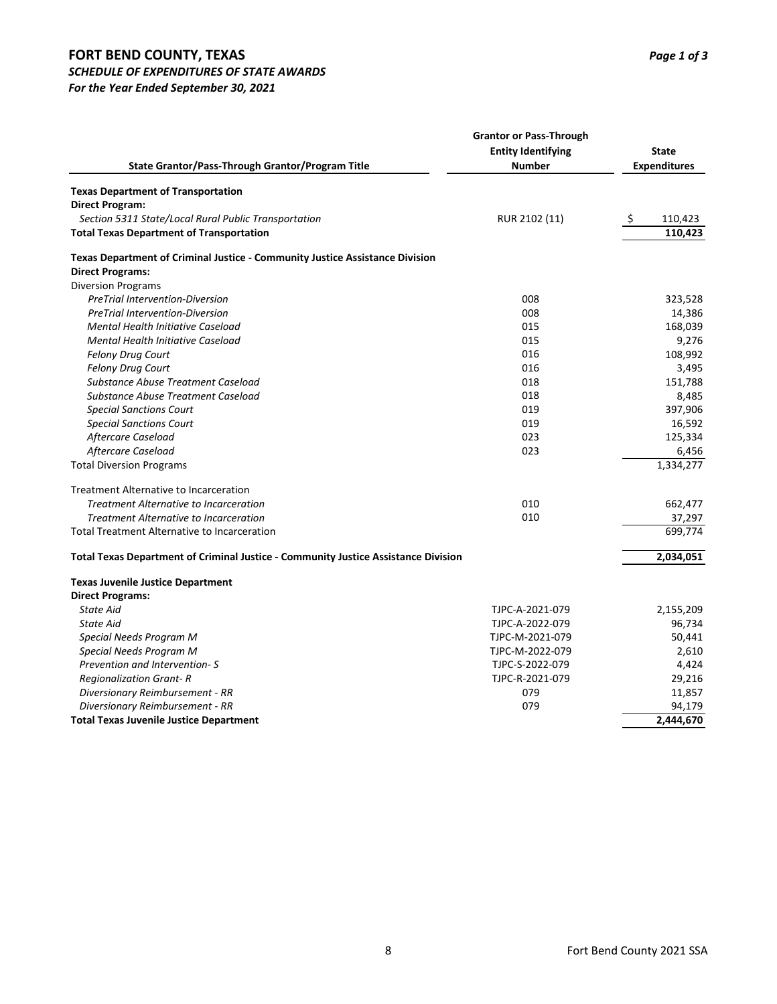## **FORT BEND COUNTY, TEXAS** *Page 1 of 3 SCHEDULE OF EXPENDITURES OF STATE AWARDS For the Year Ended September 30, 2021*

|                                                                                    | <b>Grantor or Pass-Through</b><br><b>Entity Identifying</b> | <b>State</b>        |
|------------------------------------------------------------------------------------|-------------------------------------------------------------|---------------------|
| State Grantor/Pass-Through Grantor/Program Title                                   | <b>Number</b>                                               | <b>Expenditures</b> |
| <b>Texas Department of Transportation</b>                                          |                                                             |                     |
| <b>Direct Program:</b>                                                             |                                                             |                     |
| Section 5311 State/Local Rural Public Transportation                               | RUR 2102 (11)                                               | \$<br>110,423       |
| <b>Total Texas Department of Transportation</b>                                    |                                                             | 110,423             |
| Texas Department of Criminal Justice - Community Justice Assistance Division       |                                                             |                     |
| <b>Direct Programs:</b>                                                            |                                                             |                     |
| <b>Diversion Programs</b>                                                          |                                                             |                     |
| <b>PreTrial Intervention-Diversion</b>                                             | 008                                                         | 323,528             |
| <b>PreTrial Intervention-Diversion</b>                                             | 008                                                         | 14,386              |
| <b>Mental Health Initiative Caseload</b>                                           | 015                                                         | 168,039             |
| <b>Mental Health Initiative Caseload</b>                                           | 015                                                         | 9,276               |
| Felony Drug Court                                                                  | 016                                                         | 108,992             |
| Felony Drug Court                                                                  | 016                                                         | 3,495               |
| Substance Abuse Treatment Caseload                                                 | 018                                                         | 151,788             |
| Substance Abuse Treatment Caseload                                                 | 018                                                         | 8,485               |
| <b>Special Sanctions Court</b>                                                     | 019                                                         | 397,906             |
| <b>Special Sanctions Court</b>                                                     | 019                                                         | 16,592              |
| Aftercare Caseload                                                                 | 023                                                         | 125,334             |
| Aftercare Caseload                                                                 | 023                                                         | 6,456               |
| <b>Total Diversion Programs</b>                                                    |                                                             | 1,334,277           |
| <b>Treatment Alternative to Incarceration</b>                                      |                                                             |                     |
| <b>Treatment Alternative to Incarceration</b>                                      | 010                                                         | 662,477             |
| Treatment Alternative to Incarceration                                             | 010                                                         | 37,297              |
| <b>Total Treatment Alternative to Incarceration</b>                                |                                                             | 699,774             |
| Total Texas Department of Criminal Justice - Community Justice Assistance Division |                                                             | 2,034,051           |
| <b>Texas Juvenile Justice Department</b>                                           |                                                             |                     |
| <b>Direct Programs:</b>                                                            |                                                             |                     |
| <b>State Aid</b>                                                                   | TJPC-A-2021-079                                             | 2,155,209           |
| State Aid                                                                          | TJPC-A-2022-079                                             | 96,734              |
| Special Needs Program M                                                            | TJPC-M-2021-079                                             | 50,441              |
| Special Needs Program M                                                            | TJPC-M-2022-079                                             | 2,610               |
| Prevention and Intervention-S                                                      | TJPC-S-2022-079                                             | 4,424               |
| <b>Regionalization Grant-R</b>                                                     | TJPC-R-2021-079                                             | 29,216              |
| Diversionary Reimbursement - RR                                                    | 079                                                         | 11,857              |
| Diversionary Reimbursement - RR                                                    | 079                                                         | 94,179              |
| <b>Total Texas Juvenile Justice Department</b>                                     |                                                             | 2,444,670           |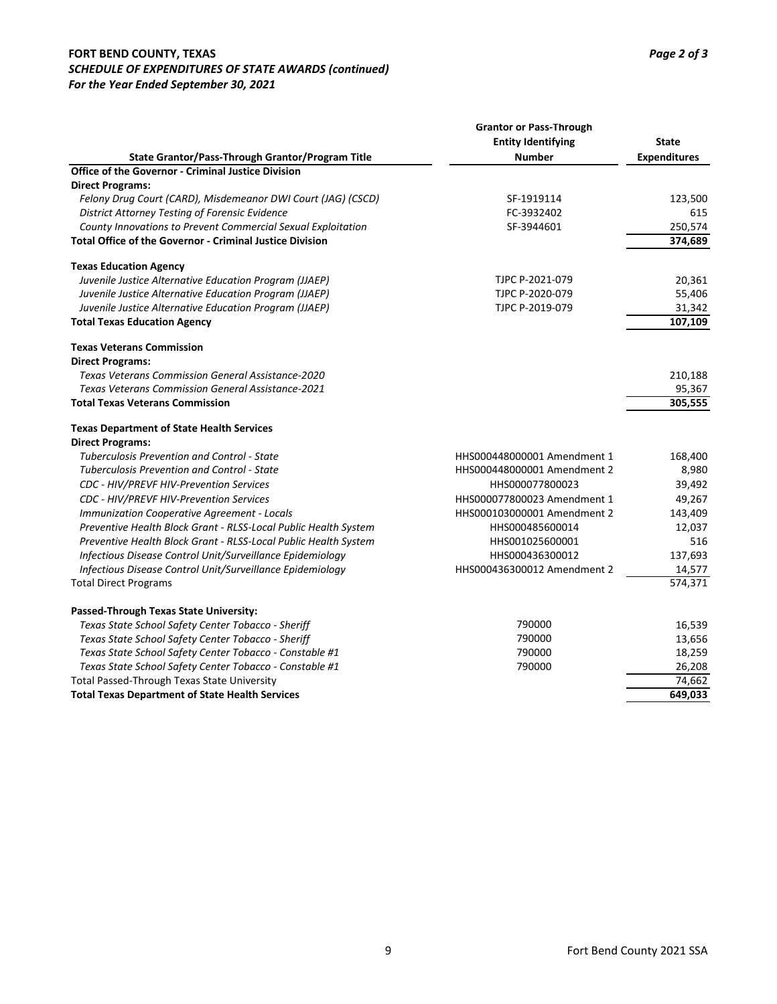#### **FORT BEND COUNTY, TEXAS** *Page 2 of 3 SCHEDULE OF EXPENDITURES OF STATE AWARDS (continued) For the Year Ended September 30, 2021*

| <b>Grantor or Pass-Through</b>                                  |                             |                     |
|-----------------------------------------------------------------|-----------------------------|---------------------|
|                                                                 | <b>Entity Identifying</b>   | <b>State</b>        |
| State Grantor/Pass-Through Grantor/Program Title                | <b>Number</b>               | <b>Expenditures</b> |
| <b>Office of the Governor - Criminal Justice Division</b>       |                             |                     |
| <b>Direct Programs:</b>                                         |                             |                     |
| Felony Drug Court (CARD), Misdemeanor DWI Court (JAG) (CSCD)    | SF-1919114                  | 123,500             |
| District Attorney Testing of Forensic Evidence                  | FC-3932402                  | 615                 |
| County Innovations to Prevent Commercial Sexual Exploitation    | SF-3944601                  | 250,574             |
| <b>Total Office of the Governor - Criminal Justice Division</b> |                             | 374,689             |
| <b>Texas Education Agency</b>                                   |                             |                     |
| Juvenile Justice Alternative Education Program (JJAEP)          | TJPC P-2021-079             | 20,361              |
| Juvenile Justice Alternative Education Program (JJAEP)          | TJPC P-2020-079             | 55,406              |
| Juvenile Justice Alternative Education Program (JJAEP)          | TJPC P-2019-079             | 31,342              |
| <b>Total Texas Education Agency</b>                             |                             | 107,109             |
| <b>Texas Veterans Commission</b>                                |                             |                     |
| <b>Direct Programs:</b>                                         |                             |                     |
| Texas Veterans Commission General Assistance-2020               |                             | 210,188             |
| <b>Texas Veterans Commission General Assistance-2021</b>        |                             | 95,367              |
| <b>Total Texas Veterans Commission</b>                          |                             | 305,555             |
| <b>Texas Department of State Health Services</b>                |                             |                     |
| <b>Direct Programs:</b>                                         |                             |                     |
| <b>Tuberculosis Prevention and Control - State</b>              | HHS000448000001 Amendment 1 | 168,400             |
| <b>Tuberculosis Prevention and Control - State</b>              | HHS000448000001 Amendment 2 | 8,980               |
| CDC - HIV/PREVF HIV-Prevention Services                         | HHS000077800023             | 39,492              |
|                                                                 |                             |                     |

| CDC - HIV/PREVF HIV-Prevention Services                         | HHS000077800023 Amendment 1 | 49.267  |
|-----------------------------------------------------------------|-----------------------------|---------|
| <b>Immunization Cooperative Agreement - Locals</b>              | HHS000103000001 Amendment 2 | 143,409 |
| Preventive Health Block Grant - RLSS-Local Public Health System | HHS000485600014             | 12,037  |
| Preventive Health Block Grant - RLSS-Local Public Health System | HHS001025600001             | 516     |
| Infectious Disease Control Unit/Surveillance Epidemiology       | HHS000436300012             | 137,693 |
| Infectious Disease Control Unit/Surveillance Epidemiology       | HHS000436300012 Amendment 2 | 14.577  |
| <b>Total Direct Programs</b>                                    |                             | 574.371 |
| Passed-Through Texas State University:                          |                             |         |
| Texas State School Safety Center Tobacco - Sheriff              | 790000                      | 16539   |

| <b>Total Texas Department of State Health Services</b>  |               | 649.033       |
|---------------------------------------------------------|---------------|---------------|
| Total Passed-Through Texas State University             |               | 74.662        |
| Texas State School Safety Center Tobacco - Constable #1 | 790000        | 26.208        |
| Texas State School Safety Center Tobacco - Constable #1 | 790000        | 18.259        |
| Texas State School Safety Center Tobacco - Sheriff      | 790000        | 13.656        |
| <i>Reads State School Superv</i> Center Tobacco Sheriff | , , , , , , , | <b>10,000</b> |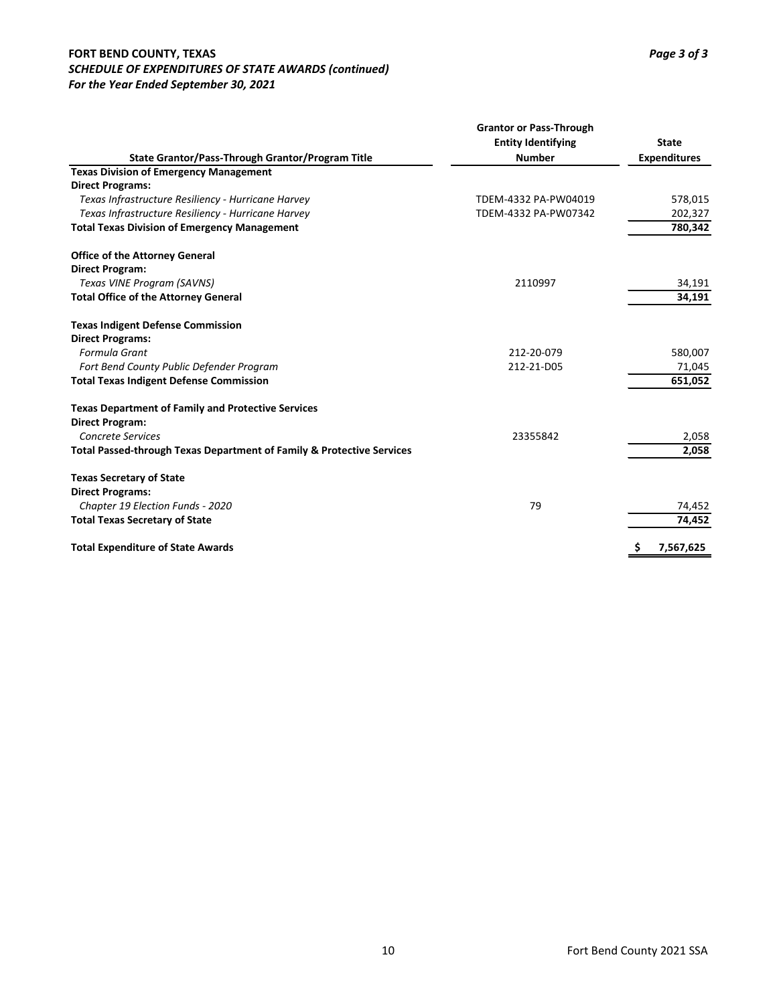## **FORT BEND COUNTY, TEXAS** *Page 3 of 3 SCHEDULE OF EXPENDITURES OF STATE AWARDS (continued) For the Year Ended September 30, 2021*

|                                                                                  | <b>Grantor or Pass-Through</b> |                     |  |
|----------------------------------------------------------------------------------|--------------------------------|---------------------|--|
|                                                                                  | <b>Entity Identifying</b>      | <b>State</b>        |  |
| State Grantor/Pass-Through Grantor/Program Title                                 | <b>Number</b>                  | <b>Expenditures</b> |  |
| <b>Texas Division of Emergency Management</b>                                    |                                |                     |  |
| <b>Direct Programs:</b>                                                          |                                |                     |  |
| Texas Infrastructure Resiliency - Hurricane Harvey                               | TDEM-4332 PA-PW04019           | 578,015             |  |
| Texas Infrastructure Resiliency - Hurricane Harvey                               | TDEM-4332 PA-PW07342           | 202,327             |  |
| <b>Total Texas Division of Emergency Management</b>                              |                                | 780,342             |  |
| <b>Office of the Attorney General</b>                                            |                                |                     |  |
| <b>Direct Program:</b>                                                           |                                |                     |  |
| Texas VINE Program (SAVNS)                                                       | 2110997                        | 34,191              |  |
| <b>Total Office of the Attorney General</b>                                      |                                | 34,191              |  |
| <b>Texas Indigent Defense Commission</b>                                         |                                |                     |  |
| <b>Direct Programs:</b>                                                          |                                |                     |  |
| Formula Grant                                                                    | 212-20-079                     | 580,007             |  |
| Fort Bend County Public Defender Program                                         | 212-21-D05                     | 71,045              |  |
| <b>Total Texas Indigent Defense Commission</b>                                   |                                | 651,052             |  |
| <b>Texas Department of Family and Protective Services</b>                        |                                |                     |  |
| <b>Direct Program:</b>                                                           |                                |                     |  |
| <b>Concrete Services</b>                                                         | 23355842                       | 2,058               |  |
| <b>Total Passed-through Texas Department of Family &amp; Protective Services</b> |                                | 2,058               |  |
| <b>Texas Secretary of State</b>                                                  |                                |                     |  |
| <b>Direct Programs:</b>                                                          |                                |                     |  |
| Chapter 19 Election Funds - 2020                                                 | 79                             | 74,452              |  |
| <b>Total Texas Secretary of State</b>                                            |                                | 74,452              |  |
| <b>Total Expenditure of State Awards</b>                                         |                                | 7,567,625           |  |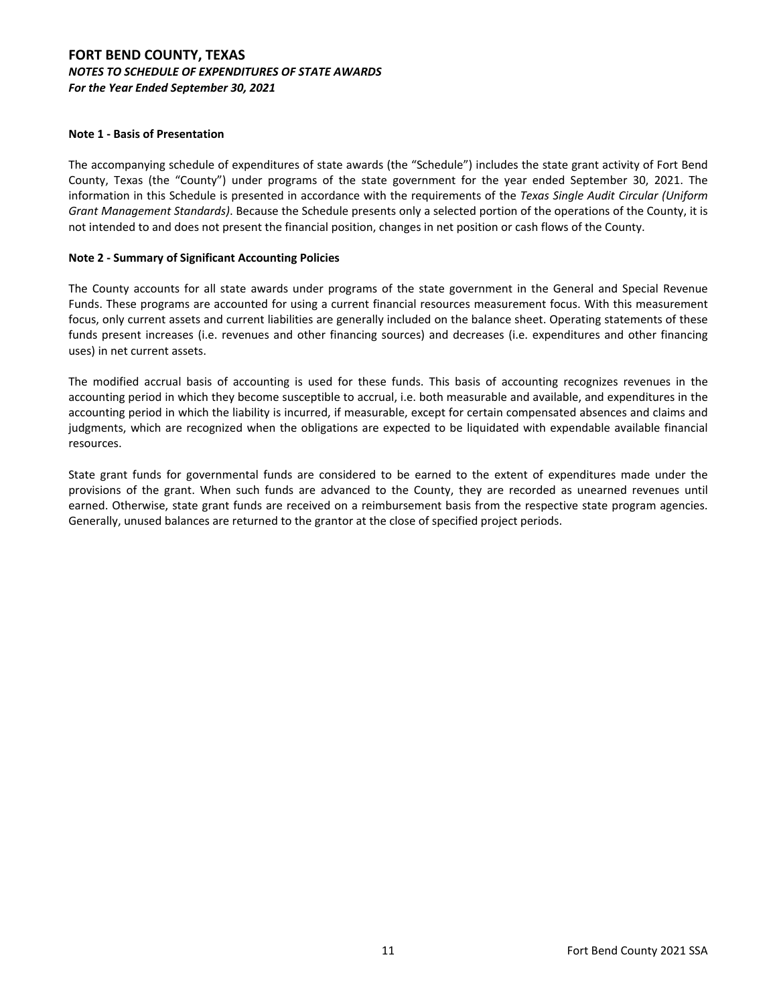## **FORT BEND COUNTY, TEXAS** *NOTES TO SCHEDULE OF EXPENDITURES OF STATE AWARDS For the Year Ended September 30, 2021*

#### **Note 1 ‐ Basis of Presentation**

The accompanying schedule of expenditures of state awards (the "Schedule") includes the state grant activity of Fort Bend County, Texas (the "County") under programs of the state government for the year ended September 30, 2021. The information in this Schedule is presented in accordance with the requirements of the *Texas Single Audit Circular (Uniform Grant Management Standards)*. Because the Schedule presents only a selected portion of the operations of the County, it is not intended to and does not present the financial position, changes in net position or cash flows of the County.

#### **Note 2 ‐ Summary of Significant Accounting Policies**

The County accounts for all state awards under programs of the state government in the General and Special Revenue Funds. These programs are accounted for using a current financial resources measurement focus. With this measurement focus, only current assets and current liabilities are generally included on the balance sheet. Operating statements of these funds present increases (i.e. revenues and other financing sources) and decreases (i.e. expenditures and other financing uses) in net current assets.

The modified accrual basis of accounting is used for these funds. This basis of accounting recognizes revenues in the accounting period in which they become susceptible to accrual, i.e. both measurable and available, and expenditures in the accounting period in which the liability is incurred, if measurable, except for certain compensated absences and claims and judgments, which are recognized when the obligations are expected to be liquidated with expendable available financial resources.

State grant funds for governmental funds are considered to be earned to the extent of expenditures made under the provisions of the grant. When such funds are advanced to the County, they are recorded as unearned revenues until earned. Otherwise, state grant funds are received on a reimbursement basis from the respective state program agencies. Generally, unused balances are returned to the grantor at the close of specified project periods.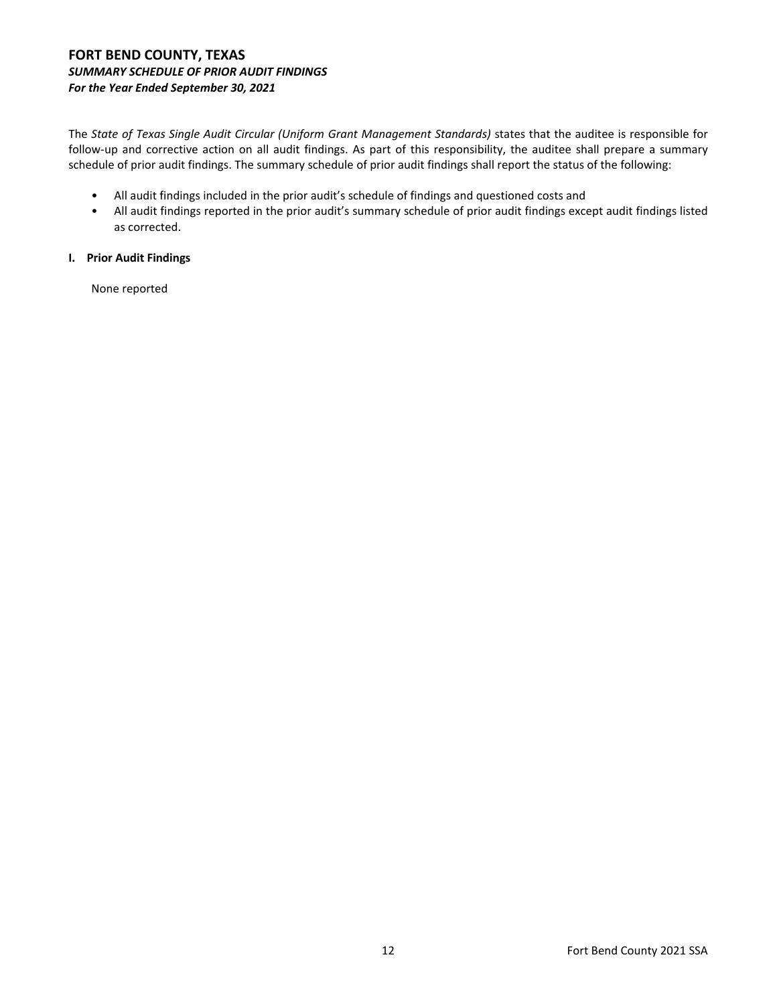## **FORT BEND COUNTY, TEXAS** *SUMMARY SCHEDULE OF PRIOR AUDIT FINDINGS For the Year Ended September 30, 2021*

The *State of Texas Single Audit Circular (Uniform Grant Management Standards)* states that the auditee is responsible for follow-up and corrective action on all audit findings. As part of this responsibility, the auditee shall prepare a summary schedule of prior audit findings. The summary schedule of prior audit findings shall report the status of the following:

- All audit findings included in the prior audit's schedule of findings and questioned costs and
- All audit findings reported in the prior audit's summary schedule of prior audit findings except audit findings listed as corrected.

#### **I. Prior Audit Findings**

None reported